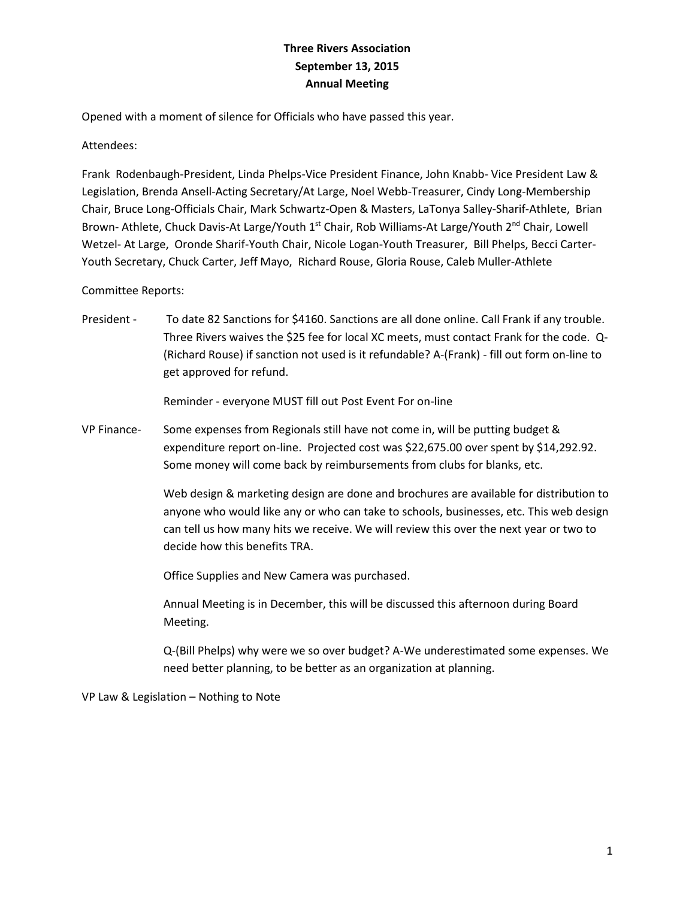Opened with a moment of silence for Officials who have passed this year.

#### Attendees:

Frank Rodenbaugh-President, Linda Phelps-Vice President Finance, John Knabb- Vice President Law & Legislation, Brenda Ansell-Acting Secretary/At Large, Noel Webb-Treasurer, Cindy Long-Membership Chair, Bruce Long-Officials Chair, Mark Schwartz-Open & Masters, LaTonya Salley-Sharif-Athlete, Brian Brown- Athlete, Chuck Davis-At Large/Youth 1<sup>st</sup> Chair, Rob Williams-At Large/Youth 2<sup>nd</sup> Chair, Lowell Wetzel- At Large, Oronde Sharif-Youth Chair, Nicole Logan-Youth Treasurer, Bill Phelps, Becci Carter-Youth Secretary, Chuck Carter, Jeff Mayo, Richard Rouse, Gloria Rouse, Caleb Muller-Athlete

#### Committee Reports:

President - To date 82 Sanctions for \$4160. Sanctions are all done online. Call Frank if any trouble. Three Rivers waives the \$25 fee for local XC meets, must contact Frank for the code. Q- (Richard Rouse) if sanction not used is it refundable? A-(Frank) - fill out form on-line to get approved for refund.

Reminder - everyone MUST fill out Post Event For on-line

VP Finance- Some expenses from Regionals still have not come in, will be putting budget & expenditure report on-line. Projected cost was \$22,675.00 over spent by \$14,292.92. Some money will come back by reimbursements from clubs for blanks, etc.

> Web design & marketing design are done and brochures are available for distribution to anyone who would like any or who can take to schools, businesses, etc. This web design can tell us how many hits we receive. We will review this over the next year or two to decide how this benefits TRA.

Office Supplies and New Camera was purchased.

Annual Meeting is in December, this will be discussed this afternoon during Board Meeting.

Q-(Bill Phelps) why were we so over budget? A-We underestimated some expenses. We need better planning, to be better as an organization at planning.

VP Law & Legislation – Nothing to Note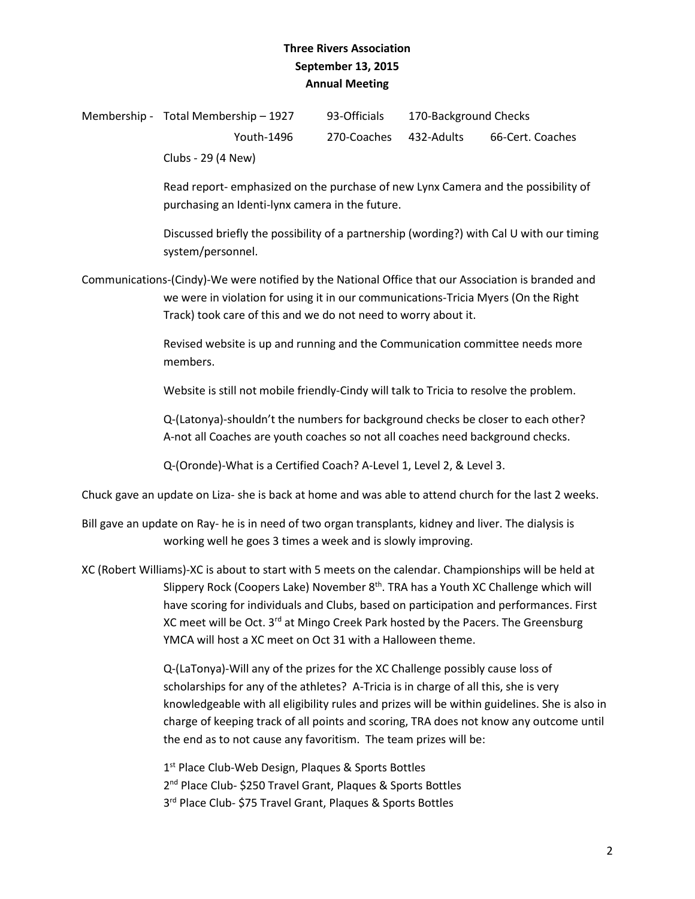|                    | Membership - Total Membership – 1927 | 93-Officials | 170-Background Checks |                  |
|--------------------|--------------------------------------|--------------|-----------------------|------------------|
|                    | Youth-1496                           | 270-Coaches  | 432-Adults            | 66-Cert. Coaches |
| Clubs - 29 (4 New) |                                      |              |                       |                  |

Read report- emphasized on the purchase of new Lynx Camera and the possibility of purchasing an Identi-lynx camera in the future.

Discussed briefly the possibility of a partnership (wording?) with Cal U with our timing system/personnel.

Communications-(Cindy)-We were notified by the National Office that our Association is branded and we were in violation for using it in our communications-Tricia Myers (On the Right Track) took care of this and we do not need to worry about it.

> Revised website is up and running and the Communication committee needs more members.

Website is still not mobile friendly-Cindy will talk to Tricia to resolve the problem.

Q-(Latonya)-shouldn't the numbers for background checks be closer to each other? A-not all Coaches are youth coaches so not all coaches need background checks.

Q-(Oronde)-What is a Certified Coach? A-Level 1, Level 2, & Level 3.

Chuck gave an update on Liza- she is back at home and was able to attend church for the last 2 weeks.

Bill gave an update on Ray- he is in need of two organ transplants, kidney and liver. The dialysis is working well he goes 3 times a week and is slowly improving.

XC (Robert Williams)-XC is about to start with 5 meets on the calendar. Championships will be held at Slippery Rock (Coopers Lake) November 8<sup>th</sup>. TRA has a Youth XC Challenge which will have scoring for individuals and Clubs, based on participation and performances. First XC meet will be Oct. 3<sup>rd</sup> at Mingo Creek Park hosted by the Pacers. The Greensburg YMCA will host a XC meet on Oct 31 with a Halloween theme.

> Q-(LaTonya)-Will any of the prizes for the XC Challenge possibly cause loss of scholarships for any of the athletes? A-Tricia is in charge of all this, she is very knowledgeable with all eligibility rules and prizes will be within guidelines. She is also in charge of keeping track of all points and scoring, TRA does not know any outcome until the end as to not cause any favoritism. The team prizes will be:

1 st Place Club-Web Design, Plaques & Sports Bottles 2<sup>nd</sup> Place Club- \$250 Travel Grant, Plaques & Sports Bottles 3<sup>rd</sup> Place Club- \$75 Travel Grant, Plaques & Sports Bottles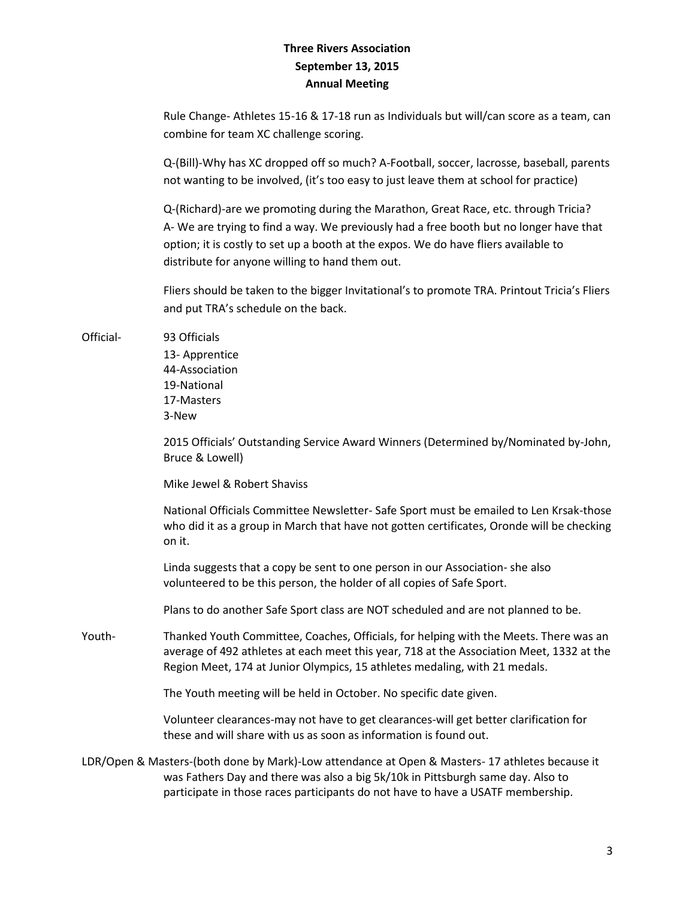Rule Change- Athletes 15-16 & 17-18 run as Individuals but will/can score as a team, can combine for team XC challenge scoring.

Q-(Bill)-Why has XC dropped off so much? A-Football, soccer, lacrosse, baseball, parents not wanting to be involved, (it's too easy to just leave them at school for practice)

Q-(Richard)-are we promoting during the Marathon, Great Race, etc. through Tricia? A- We are trying to find a way. We previously had a free booth but no longer have that option; it is costly to set up a booth at the expos. We do have fliers available to distribute for anyone willing to hand them out.

Fliers should be taken to the bigger Invitational's to promote TRA. Printout Tricia's Fliers and put TRA's schedule on the back.

Official- 93 Officials 13- Apprentice 44-Association 19-National 17-Masters 3-New

> 2015 Officials' Outstanding Service Award Winners (Determined by/Nominated by-John, Bruce & Lowell)

Mike Jewel & Robert Shaviss

National Officials Committee Newsletter- Safe Sport must be emailed to Len Krsak-those who did it as a group in March that have not gotten certificates, Oronde will be checking on it.

Linda suggests that a copy be sent to one person in our Association- she also volunteered to be this person, the holder of all copies of Safe Sport.

Plans to do another Safe Sport class are NOT scheduled and are not planned to be.

Youth- Thanked Youth Committee, Coaches, Officials, for helping with the Meets. There was an average of 492 athletes at each meet this year, 718 at the Association Meet, 1332 at the Region Meet, 174 at Junior Olympics, 15 athletes medaling, with 21 medals.

The Youth meeting will be held in October. No specific date given.

Volunteer clearances-may not have to get clearances-will get better clarification for these and will share with us as soon as information is found out.

LDR/Open & Masters-(both done by Mark)-Low attendance at Open & Masters- 17 athletes because it was Fathers Day and there was also a big 5k/10k in Pittsburgh same day. Also to participate in those races participants do not have to have a USATF membership.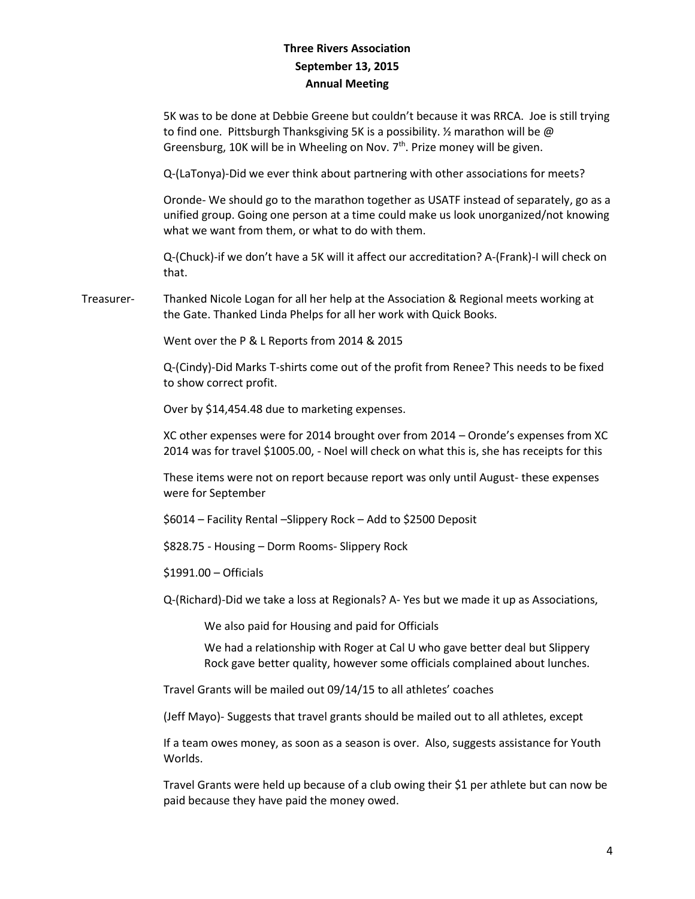5K was to be done at Debbie Greene but couldn't because it was RRCA. Joe is still trying to find one. Pittsburgh Thanksgiving 5K is a possibility. *1*/<sub>2</sub> marathon will be @ Greensburg, 10K will be in Wheeling on Nov.  $7<sup>th</sup>$ . Prize money will be given.

Q-(LaTonya)-Did we ever think about partnering with other associations for meets?

Oronde- We should go to the marathon together as USATF instead of separately, go as a unified group. Going one person at a time could make us look unorganized/not knowing what we want from them, or what to do with them.

Q-(Chuck)-if we don't have a 5K will it affect our accreditation? A-(Frank)-I will check on that.

Treasurer- Thanked Nicole Logan for all her help at the Association & Regional meets working at the Gate. Thanked Linda Phelps for all her work with Quick Books.

Went over the P & L Reports from 2014 & 2015

Q-(Cindy)-Did Marks T-shirts come out of the profit from Renee? This needs to be fixed to show correct profit.

Over by \$14,454.48 due to marketing expenses.

XC other expenses were for 2014 brought over from 2014 – Oronde's expenses from XC 2014 was for travel \$1005.00, - Noel will check on what this is, she has receipts for this

These items were not on report because report was only until August- these expenses were for September

\$6014 – Facility Rental –Slippery Rock – Add to \$2500 Deposit

\$828.75 - Housing – Dorm Rooms- Slippery Rock

\$1991.00 – Officials

Q-(Richard)-Did we take a loss at Regionals? A- Yes but we made it up as Associations,

We also paid for Housing and paid for Officials

We had a relationship with Roger at Cal U who gave better deal but Slippery Rock gave better quality, however some officials complained about lunches.

Travel Grants will be mailed out 09/14/15 to all athletes' coaches

(Jeff Mayo)- Suggests that travel grants should be mailed out to all athletes, except

If a team owes money, as soon as a season is over. Also, suggests assistance for Youth Worlds.

Travel Grants were held up because of a club owing their \$1 per athlete but can now be paid because they have paid the money owed.